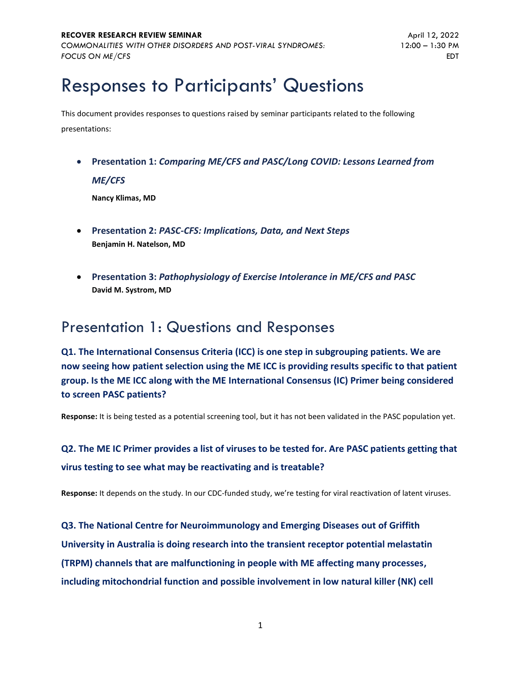# Responses to Participants' Questions

This document provides responses to questions raised by seminar participants related to the following presentations:

• **Presentation 1:** *Comparing ME/CFS and PASC/Long COVID: Lessons Learned from ME/CFS*

**Nancy Klimas, MD**

- **Presentation 2:** *PASC-CFS: Implications, Data, and Next Steps* **Benjamin H. Natelson, MD**
- **Presentation 3:** *Pathophysiology of Exercise Intolerance in ME/CFS and PASC* **David M. Systrom, MD**

## Presentation 1: Questions and Responses

**Q1. The International Consensus Criteria (ICC) is one step in subgrouping patients. We are now seeing how patient selection using the ME ICC is providing results specific to that patient group. Is the ME ICC along with the ME International Consensus (IC) Primer being considered to screen PASC patients?**

**Response:** It is being tested as a potential screening tool, but it has not been validated in the PASC population yet.

## **Q2. The ME IC Primer provides a list of viruses to be tested for. Are PASC patients getting that virus testing to see what may be reactivating and is treatable?**

**Response:** It depends on the study. In our CDC-funded study, we're testing for viral reactivation of latent viruses.

**Q3. The National Centre for Neuroimmunology and Emerging Diseases out of Griffith University in Australia is doing research into the transient receptor potential melastatin (TRPM) channels that are malfunctioning in people with ME affecting many processes, including mitochondrial function and possible involvement in low natural killer (NK) cell**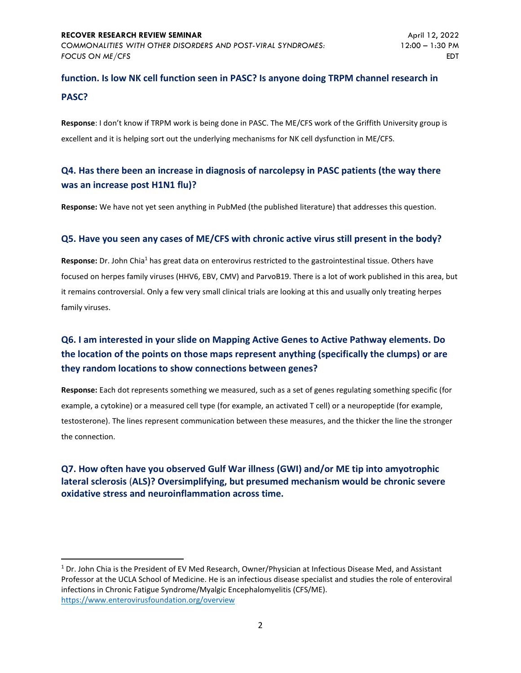## **function. Is low NK cell function seen in PASC? Is anyone doing TRPM channel research in PASC?**

**Response**: I don't know if TRPM work is being done in PASC. The ME/CFS work of the Griffith University group is excellent and it is helping sort out the underlying mechanisms for NK cell dysfunction in ME/CFS.

## **Q4. Has there been an increase in diagnosis of narcolepsy in PASC patients (the way there was an increase post H1N1 flu)?**

**Response:** We have not yet seen anything in PubMed (the published literature) that addresses this question.

#### **Q5. Have you seen any cases of ME/CFS with chronic active virus still present in the body?**

Response: Dr. John Chia<sup>1</sup> has great data on enterovirus restricted to the gastrointestinal tissue. Others have focused on herpes family viruses (HHV6, EBV, CMV) and ParvoB19. There is a lot of work published in this area, but it remains controversial. Only a few very small clinical trials are looking at this and usually only treating herpes family viruses.

## **Q6. I am interested in your slide on Mapping Active Genes to Active Pathway elements. Do the location of the points on those maps represent anything (specifically the clumps) or are they random locations to show connections between genes?**

**Response:** Each dot represents something we measured, such as a set of genes regulating something specific (for example, a cytokine) or a measured cell type (for example, an activated T cell) or a neuropeptide (for example, testosterone). The lines represent communication between these measures, and the thicker the line the stronger the connection.

### **Q7. How often have you observed Gulf War illness (GWI) and/or ME tip into amyotrophic lateral sclerosis** (**ALS)? Oversimplifying, but presumed mechanism would be chronic severe oxidative stress and neuroinflammation across time.**

<sup>1</sup> Dr. John Chia is the President of EV Med Research, Owner/Physician at Infectious Disease Med, and Assistant Professor at the UCLA School of Medicine. He is an infectious disease specialist and studies the role of enteroviral infections in Chronic Fatigue Syndrome/Myalgic Encephalomyelitis (CFS/ME). <https://www.enterovirusfoundation.org/overview>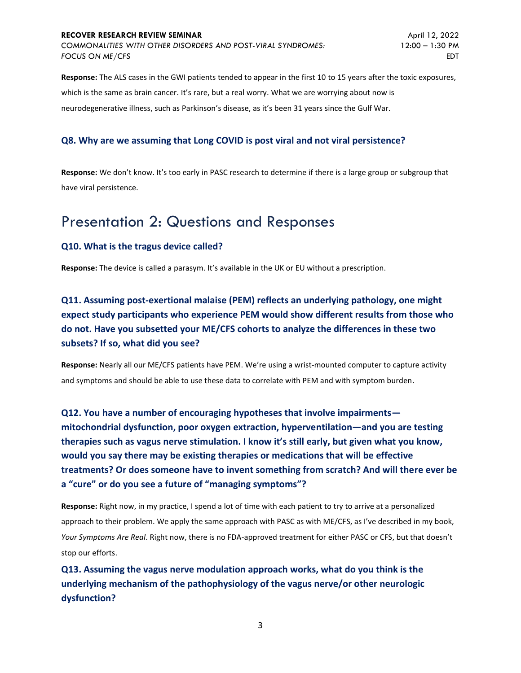#### **RECOVER RESEARCH REVIEW SEMINAR**

*COMMONALITIES WITH OTHER DISORDERS AND POST-VIRAL SYNDROMES: FOCUS ON ME/CFS*

**Response:** The ALS cases in the GWI patients tended to appear in the first 10 to 15 years after the toxic exposures, which is the same as brain cancer. It's rare, but a real worry. What we are worrying about now is neurodegenerative illness, such as Parkinson's disease, as it's been 31 years since the Gulf War.

#### **Q8. Why are we assuming that Long COVID is post viral and not viral persistence?**

**Response:** We don't know. It's too early in PASC research to determine if there is a large group or subgroup that have viral persistence.

## Presentation 2: Questions and Responses

#### **Q10. What is the tragus device called?**

**Response:** The device is called a parasym. It's available in the UK or EU without a prescription.

**Q11. Assuming post-exertional malaise (PEM) reflects an underlying pathology, one might expect study participants who experience PEM would show different results from those who do not. Have you subsetted your ME/CFS cohorts to analyze the differences in these two subsets? If so, what did you see?**

**Response:** Nearly all our ME/CFS patients have PEM. We're using a wrist-mounted computer to capture activity and symptoms and should be able to use these data to correlate with PEM and with symptom burden.

**Q12. You have a number of encouraging hypotheses that involve impairments mitochondrial dysfunction, poor oxygen extraction, hyperventilation—and you are testing therapies such as vagus nerve stimulation. I know it's still early, but given what you know, would you say there may be existing therapies or medications that will be effective treatments? Or does someone have to invent something from scratch? And will there ever be a "cure" or do you see a future of "managing symptoms"?**

**Response:** Right now, in my practice, I spend a lot of time with each patient to try to arrive at a personalized approach to their problem. We apply the same approach with PASC as with ME/CFS, as I've described in my book, *Your Symptoms Are Real*. Right now, there is no FDA-approved treatment for either PASC or CFS, but that doesn't stop our efforts.

**Q13. Assuming the vagus nerve modulation approach works, what do you think is the underlying mechanism of the pathophysiology of the vagus nerve/or other neurologic dysfunction?**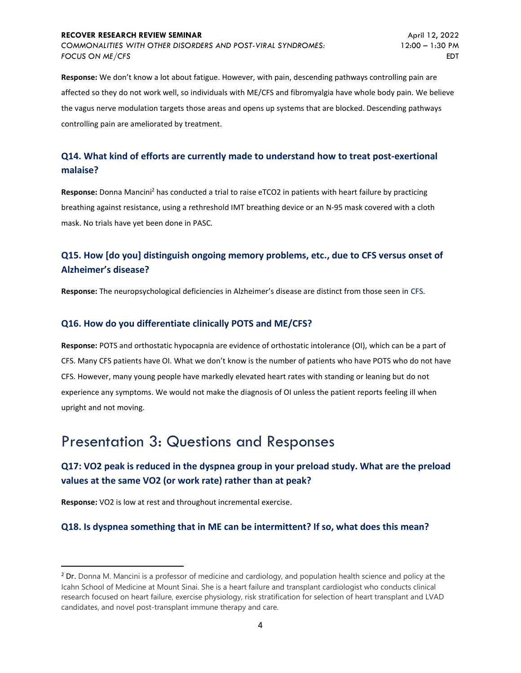#### **RECOVER RESEARCH REVIEW SEMINAR**

*COMMONALITIES WITH OTHER DISORDERS AND POST-VIRAL SYNDROMES: FOCUS ON ME/CFS*

**Response:** We don't know a lot about fatigue. However, with pain, descending pathways controlling pain are affected so they do not work well, so individuals with ME/CFS and fibromyalgia have whole body pain. We believe the vagus nerve modulation targets those areas and opens up systems that are blocked. Descending pathways controlling pain are ameliorated by treatment.

### **Q14. What kind of efforts are currently made to understand how to treat post-exertional malaise?**

Response: Donna Mancini<sup>2</sup> has conducted a trial to raise eTCO2 in patients with heart failure by practicing breathing against resistance, using a rethreshold IMT breathing device or an N-95 mask covered with a cloth mask. No trials have yet been done in PASC.

### **Q15. How [do you] distinguish ongoing memory problems, etc., due to CFS versus onset of Alzheimer's disease?**

**Response:** The neuropsychological deficiencies in Alzheimer's disease are distinct from those seen in CFS.

#### **Q16. How do you differentiate clinically POTS and ME/CFS?**

**Response:** POTS and orthostatic hypocapnia are evidence of orthostatic intolerance (OI), which can be a part of CFS. Many CFS patients have OI. What we don't know is the number of patients who have POTS who do not have CFS. However, many young people have markedly elevated heart rates with standing or leaning but do not experience any symptoms. We would not make the diagnosis of OI unless the patient reports feeling ill when upright and not moving.

## Presentation 3: Questions and Responses

### **Q17: VO2 peak is reduced in the dyspnea group in your preload study. What are the preload values at the same VO2 (or work rate) rather than at peak?**

**Response:** VO2 is low at rest and throughout incremental exercise.

#### **Q18. Is dyspnea something that in ME can be intermittent? If so, what does this mean?**

<sup>&</sup>lt;sup>2</sup> Dr. Donna M. Mancini is a professor of medicine and cardiology, and population health science and policy at the Icahn School of Medicine at Mount Sinai. She is a heart failure and transplant cardiologist who conducts clinical research focused on heart failure, exercise physiology, risk stratification for selection of heart transplant and LVAD candidates, and novel post-transplant immune therapy and care.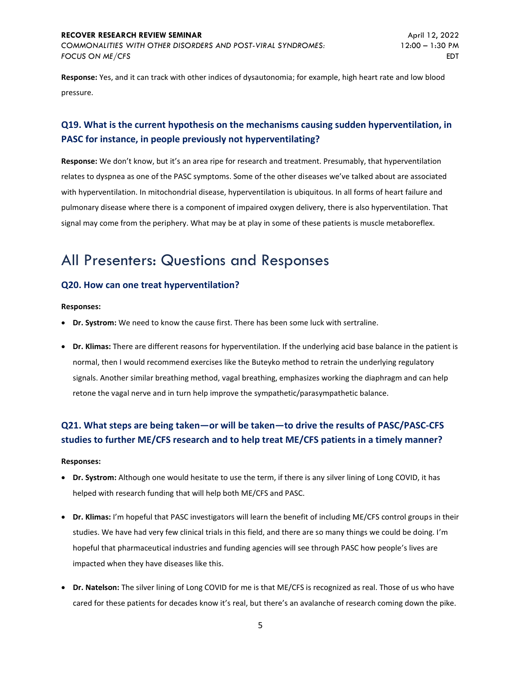#### **RECOVER RESEARCH REVIEW SEMINAR**

*COMMONALITIES WITH OTHER DISORDERS AND POST-VIRAL SYNDROMES: FOCUS ON ME/CFS*

**Response:** Yes, and it can track with other indices of dysautonomia; for example, high heart rate and low blood pressure.

## **Q19. What is the current hypothesis on the mechanisms causing sudden hyperventilation, in PASC for instance, in people previously not hyperventilating?**

**Response:** We don't know, but it's an area ripe for research and treatment. Presumably, that hyperventilation relates to dyspnea as one of the PASC symptoms. Some of the other diseases we've talked about are associated with hyperventilation. In mitochondrial disease, hyperventilation is ubiquitous. In all forms of heart failure and pulmonary disease where there is a component of impaired oxygen delivery, there is also hyperventilation. That signal may come from the periphery. What may be at play in some of these patients is muscle metaboreflex.

## All Presenters: Questions and Responses

#### **Q20. How can one treat hyperventilation?**

**Responses:**

- **Dr. Systrom:** We need to know the cause first. There has been some luck with sertraline.
- **Dr. Klimas:** There are different reasons for hyperventilation. If the underlying acid base balance in the patient is normal, then I would recommend exercises like the Buteyko method to retrain the underlying regulatory signals. Another similar breathing method, vagal breathing, emphasizes working the diaphragm and can help retone the vagal nerve and in turn help improve the sympathetic/parasympathetic balance.

## **Q21. What steps are being taken—or will be taken—to drive the results of PASC/PASC-CFS studies to further ME/CFS research and to help treat ME/CFS patients in a timely manner?**

#### **Responses:**

- **Dr. Systrom:** Although one would hesitate to use the term, if there is any silver lining of Long COVID, it has helped with research funding that will help both ME/CFS and PASC.
- **Dr. Klimas:** I'm hopeful that PASC investigators will learn the benefit of including ME/CFS control groups in their studies. We have had very few clinical trials in this field, and there are so many things we could be doing. I'm hopeful that pharmaceutical industries and funding agencies will see through PASC how people's lives are impacted when they have diseases like this.
- **Dr. Natelson:** The silver lining of Long COVID for me is that ME/CFS is recognized as real. Those of us who have cared for these patients for decades know it's real, but there's an avalanche of research coming down the pike.